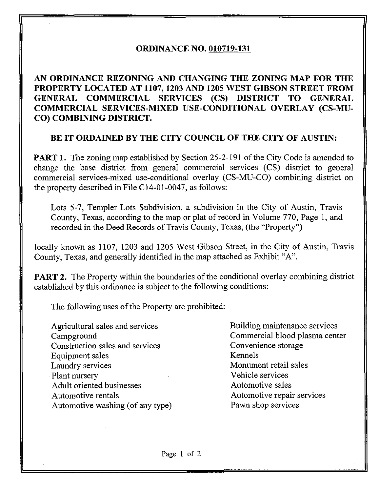## ORDINANCE NO. 010719-131

AN ORDINANCE REZONING AND CHANGING THE ZONING MAP FOR THE PROPERTY LOCATED AT 1107,1203 AND 1205 WEST GIBSON STREET FROM GENERAL COMMERCIAL SERVICES (CS) DISTRICT TO GENERAL COMMERCIAL SERVICES-MIXED USE-CONDITIONAL OVERLAY (CS-MU-CO) COMBINING DISTRICT.

## BE IT ORDAINED BY THE CITY COUNCIL OF THE CITY OF AUSTIN:

**PART 1.** The zoning map established by Section 25-2-191 of the City Code is amended to change the base district from general commercial services (CS) district to general commercial services-mixed use-conditional overlay (CS-MU-CO) combining district on the property described in File C14-01-0047, as follows:

Lots 5-7, Templer Lots Subdivision, a subdivision in the City of Austin, Travis County, Texas, according to the map or plat of record in Volume 770, Page 1, and recorded in the Deed Records of Travis County, Texas, (the "Property")

locally known as 1107, 1203 and 1205 West Gibson Street, in the City of Austin, Travis County, Texas, and generally identified in the map attached as Exhibit "A".

**PART 2.** The Property within the boundaries of the conditional overlay combining district established by this ordinance is subject to the following conditions:

The following uses of the Property are prohibited:

Agricultural sales and services Campground Construction sales and services Equipment sales Laundry services Plant nursery Adult oriented businesses Automotive rentals Automotive washing (of any type)

Building maintenance services Commercial blood plasma center Convenience storage Kennels Monument retail sales Vehicle services Automotive sales Automotive repair services Pawn shop services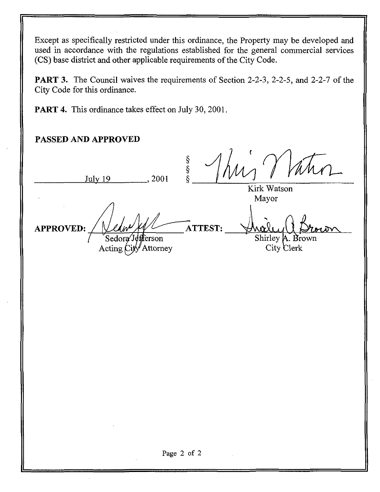Except as specifically restricted under this ordinance, the Property may be developed and used in accordance with the regulations established for the general commercial services (CS) base district and other applicable requirements of the City Code.

PART 3. The Council waives the requirements of Section 2-2-3, 2-2-5, and 2-2-7 of the City Code for this ordinance.

PART 4. This ordinance takes effect on July 30, 2001.

## PASSED AND APPROVED

Thur  $\frac{\S}{\S}$ July 19 ., 2001 Kirk Watson Mayor ATTEST: APPROVED: Shirley A. Brown / Sedor .<br>erson Acting  $\dot{C}$ ity Attorney City Clerk